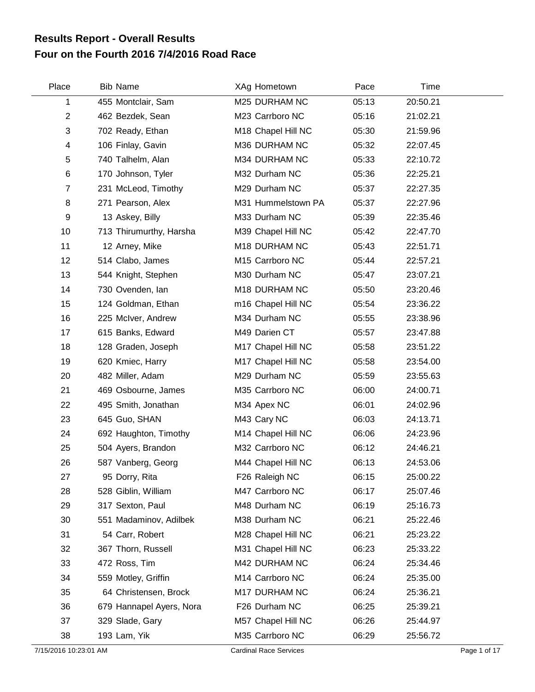## **Four on the Fourth 2016 7/4/2016 Road Race Results Report - Overall Results**

| Place                 | <b>Bib Name</b>          | XAg Hometown                  | Pace  | Time     |              |
|-----------------------|--------------------------|-------------------------------|-------|----------|--------------|
| 1                     | 455 Montclair, Sam       | M25 DURHAM NC                 | 05:13 | 20:50.21 |              |
| $\mathbf{2}$          | 462 Bezdek, Sean         | M23 Carrboro NC               | 05:16 | 21:02.21 |              |
| 3                     | 702 Ready, Ethan         | M18 Chapel Hill NC            | 05:30 | 21:59.96 |              |
| 4                     | 106 Finlay, Gavin        | M36 DURHAM NC                 | 05:32 | 22:07.45 |              |
| 5                     | 740 Talhelm, Alan        | M34 DURHAM NC                 | 05:33 | 22:10.72 |              |
| 6                     | 170 Johnson, Tyler       | M32 Durham NC                 | 05:36 | 22:25.21 |              |
| $\overline{7}$        | 231 McLeod, Timothy      | M29 Durham NC                 | 05:37 | 22:27.35 |              |
| 8                     | 271 Pearson, Alex        | M31 Hummelstown PA            | 05:37 | 22:27.96 |              |
| 9                     | 13 Askey, Billy          | M33 Durham NC                 | 05:39 | 22:35.46 |              |
| 10                    | 713 Thirumurthy, Harsha  | M39 Chapel Hill NC            | 05:42 | 22:47.70 |              |
| 11                    | 12 Arney, Mike           | M18 DURHAM NC                 | 05:43 | 22:51.71 |              |
| 12                    | 514 Clabo, James         | M15 Carrboro NC               | 05:44 | 22:57.21 |              |
| 13                    | 544 Knight, Stephen      | M30 Durham NC                 | 05:47 | 23:07.21 |              |
| 14                    | 730 Ovenden, Ian         | M18 DURHAM NC                 | 05:50 | 23:20.46 |              |
| 15                    | 124 Goldman, Ethan       | m16 Chapel Hill NC            | 05:54 | 23:36.22 |              |
| 16                    | 225 McIver, Andrew       | M34 Durham NC                 | 05:55 | 23:38.96 |              |
| 17                    | 615 Banks, Edward        | M49 Darien CT                 | 05:57 | 23:47.88 |              |
| 18                    | 128 Graden, Joseph       | M17 Chapel Hill NC            | 05:58 | 23:51.22 |              |
| 19                    | 620 Kmiec, Harry         | M17 Chapel Hill NC            | 05:58 | 23:54.00 |              |
| 20                    | 482 Miller, Adam         | M29 Durham NC                 | 05:59 | 23:55.63 |              |
| 21                    | 469 Osbourne, James      | M35 Carrboro NC               | 06:00 | 24:00.71 |              |
| 22                    | 495 Smith, Jonathan      | M34 Apex NC                   | 06:01 | 24:02.96 |              |
| 23                    | 645 Guo, SHAN            | M43 Cary NC                   | 06:03 | 24:13.71 |              |
| 24                    | 692 Haughton, Timothy    | M14 Chapel Hill NC            | 06:06 | 24:23.96 |              |
| 25                    | 504 Ayers, Brandon       | M32 Carrboro NC               | 06:12 | 24:46.21 |              |
| 26                    | 587 Vanberg, Georg       | M44 Chapel Hill NC            | 06:13 | 24:53.06 |              |
| 27                    | 95 Dorry, Rita           | F26 Raleigh NC                | 06:15 | 25:00.22 |              |
| 28                    | 528 Giblin, William      | M47 Carrboro NC               | 06:17 | 25:07.46 |              |
| 29                    | 317 Sexton, Paul         | M48 Durham NC                 | 06:19 | 25:16.73 |              |
| 30                    | 551 Madaminov, Adilbek   | M38 Durham NC                 | 06:21 | 25:22.46 |              |
| 31                    | 54 Carr, Robert          | M28 Chapel Hill NC            | 06:21 | 25:23.22 |              |
| 32                    | 367 Thorn, Russell       | M31 Chapel Hill NC            | 06:23 | 25:33.22 |              |
| 33                    | 472 Ross, Tim            | M42 DURHAM NC                 | 06:24 | 25:34.46 |              |
| 34                    | 559 Motley, Griffin      | M14 Carrboro NC               | 06:24 | 25:35.00 |              |
| 35                    | 64 Christensen, Brock    | M17 DURHAM NC                 | 06:24 | 25:36.21 |              |
| 36                    | 679 Hannapel Ayers, Nora | F26 Durham NC                 | 06:25 | 25:39.21 |              |
| 37                    | 329 Slade, Gary          | M57 Chapel Hill NC            | 06:26 | 25:44.97 |              |
| 38                    | 193 Lam, Yik             | M35 Carrboro NC               | 06:29 | 25:56.72 |              |
| 7/15/2016 10:23:01 AM |                          | <b>Cardinal Race Services</b> |       |          | Page 1 of 17 |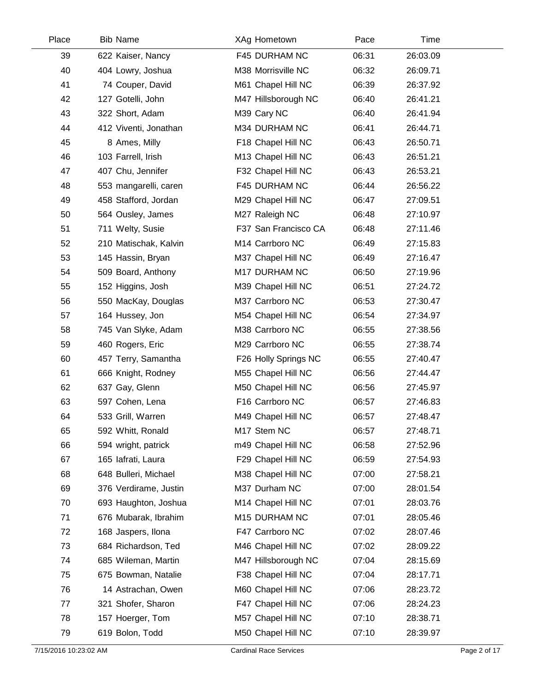| Place | <b>Bib Name</b>       | XAg Hometown         | Pace  | Time     |  |
|-------|-----------------------|----------------------|-------|----------|--|
| 39    | 622 Kaiser, Nancy     | F45 DURHAM NC        | 06:31 | 26:03.09 |  |
| 40    | 404 Lowry, Joshua     | M38 Morrisville NC   | 06:32 | 26:09.71 |  |
| 41    | 74 Couper, David      | M61 Chapel Hill NC   | 06:39 | 26:37.92 |  |
| 42    | 127 Gotelli, John     | M47 Hillsborough NC  | 06:40 | 26:41.21 |  |
| 43    | 322 Short, Adam       | M39 Cary NC          | 06:40 | 26:41.94 |  |
| 44    | 412 Viventi, Jonathan | M34 DURHAM NC        | 06:41 | 26:44.71 |  |
| 45    | 8 Ames, Milly         | F18 Chapel Hill NC   | 06:43 | 26:50.71 |  |
| 46    | 103 Farrell, Irish    | M13 Chapel Hill NC   | 06:43 | 26:51.21 |  |
| 47    | 407 Chu, Jennifer     | F32 Chapel Hill NC   | 06:43 | 26:53.21 |  |
| 48    | 553 mangarelli, caren | F45 DURHAM NC        | 06:44 | 26:56.22 |  |
| 49    | 458 Stafford, Jordan  | M29 Chapel Hill NC   | 06:47 | 27:09.51 |  |
| 50    | 564 Ousley, James     | M27 Raleigh NC       | 06:48 | 27:10.97 |  |
| 51    | 711 Welty, Susie      | F37 San Francisco CA | 06:48 | 27:11.46 |  |
| 52    | 210 Matischak, Kalvin | M14 Carrboro NC      | 06:49 | 27:15.83 |  |
| 53    | 145 Hassin, Bryan     | M37 Chapel Hill NC   | 06:49 | 27:16.47 |  |
| 54    | 509 Board, Anthony    | M17 DURHAM NC        | 06:50 | 27:19.96 |  |
| 55    | 152 Higgins, Josh     | M39 Chapel Hill NC   | 06:51 | 27:24.72 |  |
| 56    | 550 MacKay, Douglas   | M37 Carrboro NC      | 06:53 | 27:30.47 |  |
| 57    | 164 Hussey, Jon       | M54 Chapel Hill NC   | 06:54 | 27:34.97 |  |
| 58    | 745 Van Slyke, Adam   | M38 Carrboro NC      | 06:55 | 27:38.56 |  |
| 59    | 460 Rogers, Eric      | M29 Carrboro NC      | 06:55 | 27:38.74 |  |
| 60    | 457 Terry, Samantha   | F26 Holly Springs NC | 06:55 | 27:40.47 |  |
| 61    | 666 Knight, Rodney    | M55 Chapel Hill NC   | 06:56 | 27:44.47 |  |
| 62    | 637 Gay, Glenn        | M50 Chapel Hill NC   | 06:56 | 27:45.97 |  |
| 63    | 597 Cohen, Lena       | F16 Carrboro NC      | 06:57 | 27:46.83 |  |
| 64    | 533 Grill, Warren     | M49 Chapel Hill NC   | 06:57 | 27:48.47 |  |
| 65    | 592 Whitt, Ronald     | M17 Stem NC          | 06:57 | 27:48.71 |  |
| 66    | 594 wright, patrick   | m49 Chapel Hill NC   | 06:58 | 27:52.96 |  |
| 67    | 165 lafrati, Laura    | F29 Chapel Hill NC   | 06:59 | 27:54.93 |  |
| 68    | 648 Bulleri, Michael  | M38 Chapel Hill NC   | 07:00 | 27:58.21 |  |
| 69    | 376 Verdirame, Justin | M37 Durham NC        | 07:00 | 28:01.54 |  |
| 70    | 693 Haughton, Joshua  | M14 Chapel Hill NC   | 07:01 | 28:03.76 |  |
| 71    | 676 Mubarak, Ibrahim  | M15 DURHAM NC        | 07:01 | 28:05.46 |  |
| 72    | 168 Jaspers, Ilona    | F47 Carrboro NC      | 07:02 | 28:07.46 |  |
| 73    | 684 Richardson, Ted   | M46 Chapel Hill NC   | 07:02 | 28:09.22 |  |
| 74    | 685 Wileman, Martin   | M47 Hillsborough NC  | 07:04 | 28:15.69 |  |
| 75    | 675 Bowman, Natalie   | F38 Chapel Hill NC   | 07:04 | 28:17.71 |  |
| 76    | 14 Astrachan, Owen    | M60 Chapel Hill NC   | 07:06 | 28:23.72 |  |
| 77    | 321 Shofer, Sharon    | F47 Chapel Hill NC   | 07:06 | 28:24.23 |  |
| 78    | 157 Hoerger, Tom      | M57 Chapel Hill NC   | 07:10 | 28:38.71 |  |
| 79    | 619 Bolon, Todd       | M50 Chapel Hill NC   | 07:10 | 28:39.97 |  |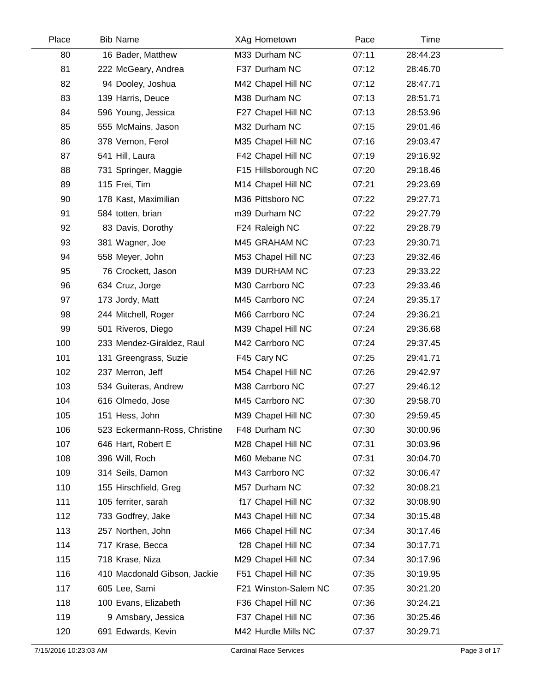| Place | <b>Bib Name</b>               | XAg Hometown         | Pace  | Time     |  |
|-------|-------------------------------|----------------------|-------|----------|--|
| 80    | 16 Bader, Matthew             | M33 Durham NC        | 07:11 | 28:44.23 |  |
| 81    | 222 McGeary, Andrea           | F37 Durham NC        | 07:12 | 28:46.70 |  |
| 82    | 94 Dooley, Joshua             | M42 Chapel Hill NC   | 07:12 | 28:47.71 |  |
| 83    | 139 Harris, Deuce             | M38 Durham NC        | 07:13 | 28:51.71 |  |
| 84    | 596 Young, Jessica            | F27 Chapel Hill NC   | 07:13 | 28:53.96 |  |
| 85    | 555 McMains, Jason            | M32 Durham NC        | 07:15 | 29:01.46 |  |
| 86    | 378 Vernon, Ferol             | M35 Chapel Hill NC   | 07:16 | 29:03.47 |  |
| 87    | 541 Hill, Laura               | F42 Chapel Hill NC   | 07:19 | 29:16.92 |  |
| 88    | 731 Springer, Maggie          | F15 Hillsborough NC  | 07:20 | 29:18.46 |  |
| 89    | 115 Frei, Tim                 | M14 Chapel Hill NC   | 07:21 | 29:23.69 |  |
| 90    | 178 Kast, Maximilian          | M36 Pittsboro NC     | 07:22 | 29:27.71 |  |
| 91    | 584 totten, brian             | m39 Durham NC        | 07:22 | 29:27.79 |  |
| 92    | 83 Davis, Dorothy             | F24 Raleigh NC       | 07:22 | 29:28.79 |  |
| 93    | 381 Wagner, Joe               | M45 GRAHAM NC        | 07:23 | 29:30.71 |  |
| 94    | 558 Meyer, John               | M53 Chapel Hill NC   | 07:23 | 29:32.46 |  |
| 95    | 76 Crockett, Jason            | M39 DURHAM NC        | 07:23 | 29:33.22 |  |
| 96    | 634 Cruz, Jorge               | M30 Carrboro NC      | 07:23 | 29:33.46 |  |
| 97    | 173 Jordy, Matt               | M45 Carrboro NC      | 07:24 | 29:35.17 |  |
| 98    | 244 Mitchell, Roger           | M66 Carrboro NC      | 07:24 | 29:36.21 |  |
| 99    | 501 Riveros, Diego            | M39 Chapel Hill NC   | 07:24 | 29:36.68 |  |
| 100   | 233 Mendez-Giraldez, Raul     | M42 Carrboro NC      | 07:24 | 29:37.45 |  |
| 101   | 131 Greengrass, Suzie         | F45 Cary NC          | 07:25 | 29:41.71 |  |
| 102   | 237 Merron, Jeff              | M54 Chapel Hill NC   | 07:26 | 29:42.97 |  |
| 103   | 534 Guiteras, Andrew          | M38 Carrboro NC      | 07:27 | 29:46.12 |  |
| 104   | 616 Olmedo, Jose              | M45 Carrboro NC      | 07:30 | 29:58.70 |  |
| 105   | 151 Hess, John                | M39 Chapel Hill NC   | 07:30 | 29:59.45 |  |
| 106   | 523 Eckermann-Ross, Christine | F48 Durham NC        | 07:30 | 30:00.96 |  |
| 107   | 646 Hart, Robert E            | M28 Chapel Hill NC   | 07:31 | 30:03.96 |  |
| 108   | 396 Will, Roch                | M60 Mebane NC        | 07:31 | 30:04.70 |  |
| 109   | 314 Seils, Damon              | M43 Carrboro NC      | 07:32 | 30:06.47 |  |
| 110   | 155 Hirschfield, Greg         | M57 Durham NC        | 07:32 | 30:08.21 |  |
| 111   | 105 ferriter, sarah           | f17 Chapel Hill NC   | 07:32 | 30:08.90 |  |
| 112   | 733 Godfrey, Jake             | M43 Chapel Hill NC   | 07:34 | 30:15.48 |  |
| 113   | 257 Northen, John             | M66 Chapel Hill NC   | 07:34 | 30:17.46 |  |
| 114   | 717 Krase, Becca              | f28 Chapel Hill NC   | 07:34 | 30:17.71 |  |
| 115   | 718 Krase, Niza               | M29 Chapel Hill NC   | 07:34 | 30:17.96 |  |
| 116   | 410 Macdonald Gibson, Jackie  | F51 Chapel Hill NC   | 07:35 | 30:19.95 |  |
| 117   | 605 Lee, Sami                 | F21 Winston-Salem NC | 07:35 | 30:21.20 |  |
| 118   | 100 Evans, Elizabeth          | F36 Chapel Hill NC   | 07:36 | 30:24.21 |  |
| 119   | 9 Amsbary, Jessica            | F37 Chapel Hill NC   | 07:36 | 30:25.46 |  |
| 120   | 691 Edwards, Kevin            | M42 Hurdle Mills NC  | 07:37 | 30:29.71 |  |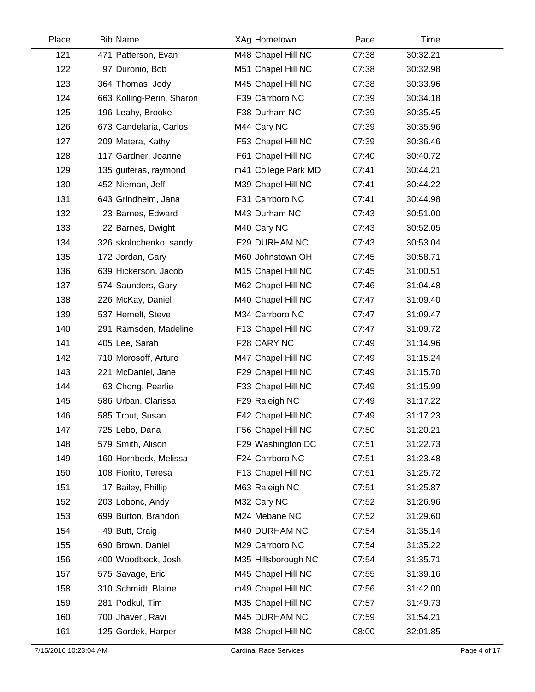| Place | <b>Bib Name</b>           | XAg Hometown        | Pace  | Time     |  |
|-------|---------------------------|---------------------|-------|----------|--|
| 121   | 471 Patterson, Evan       | M48 Chapel Hill NC  | 07:38 | 30:32.21 |  |
| 122   | 97 Duronio, Bob           | M51 Chapel Hill NC  | 07:38 | 30:32.98 |  |
| 123   | 364 Thomas, Jody          | M45 Chapel Hill NC  | 07:38 | 30:33.96 |  |
| 124   | 663 Kolling-Perin, Sharon | F39 Carrboro NC     | 07:39 | 30:34.18 |  |
| 125   | 196 Leahy, Brooke         | F38 Durham NC       | 07:39 | 30:35.45 |  |
| 126   | 673 Candelaria, Carlos    | M44 Cary NC         | 07:39 | 30:35.96 |  |
| 127   | 209 Matera, Kathy         | F53 Chapel Hill NC  | 07:39 | 30:36.46 |  |
| 128   | 117 Gardner, Joanne       | F61 Chapel Hill NC  | 07:40 | 30:40.72 |  |
| 129   | 135 guiteras, raymond     | m41 College Park MD | 07:41 | 30:44.21 |  |
| 130   | 452 Nieman, Jeff          | M39 Chapel Hill NC  | 07:41 | 30:44.22 |  |
| 131   | 643 Grindheim, Jana       | F31 Carrboro NC     | 07:41 | 30:44.98 |  |
| 132   | 23 Barnes, Edward         | M43 Durham NC       | 07:43 | 30:51.00 |  |
| 133   | 22 Barnes, Dwight         | M40 Cary NC         | 07:43 | 30:52.05 |  |
| 134   | 326 skolochenko, sandy    | F29 DURHAM NC       | 07:43 | 30:53.04 |  |
| 135   | 172 Jordan, Gary          | M60 Johnstown OH    | 07:45 | 30:58.71 |  |
| 136   | 639 Hickerson, Jacob      | M15 Chapel Hill NC  | 07:45 | 31:00.51 |  |
| 137   | 574 Saunders, Gary        | M62 Chapel Hill NC  | 07:46 | 31:04.48 |  |
| 138   | 226 McKay, Daniel         | M40 Chapel Hill NC  | 07:47 | 31:09.40 |  |
| 139   | 537 Hemelt, Steve         | M34 Carrboro NC     | 07:47 | 31:09.47 |  |
| 140   | 291 Ramsden, Madeline     | F13 Chapel Hill NC  | 07:47 | 31:09.72 |  |
| 141   | 405 Lee, Sarah            | F28 CARY NC         | 07:49 | 31:14.96 |  |
| 142   | 710 Morosoff, Arturo      | M47 Chapel Hill NC  | 07:49 | 31:15.24 |  |
| 143   | 221 McDaniel, Jane        | F29 Chapel Hill NC  | 07:49 | 31:15.70 |  |
| 144   | 63 Chong, Pearlie         | F33 Chapel Hill NC  | 07:49 | 31:15.99 |  |
| 145   | 586 Urban, Clarissa       | F29 Raleigh NC      | 07:49 | 31:17.22 |  |
| 146   | 585 Trout, Susan          | F42 Chapel Hill NC  | 07:49 | 31:17.23 |  |
| 147   | 725 Lebo, Dana            | F56 Chapel Hill NC  | 07:50 | 31:20.21 |  |
| 148   | 579 Smith, Alison         | F29 Washington DC   | 07:51 | 31:22.73 |  |
| 149   | 160 Hornbeck, Melissa     | F24 Carrboro NC     | 07:51 | 31:23.48 |  |
| 150   | 108 Fiorito, Teresa       | F13 Chapel Hill NC  | 07:51 | 31:25.72 |  |
| 151   | 17 Bailey, Phillip        | M63 Raleigh NC      | 07:51 | 31:25.87 |  |
| 152   | 203 Lobonc, Andy          | M32 Cary NC         | 07:52 | 31:26.96 |  |
| 153   | 699 Burton, Brandon       | M24 Mebane NC       | 07:52 | 31:29.60 |  |
| 154   | 49 Butt, Craig            | M40 DURHAM NC       | 07:54 | 31:35.14 |  |
| 155   | 690 Brown, Daniel         | M29 Carrboro NC     | 07:54 | 31:35.22 |  |
| 156   | 400 Woodbeck, Josh        | M35 Hillsborough NC | 07:54 | 31:35.71 |  |
| 157   | 575 Savage, Eric          | M45 Chapel Hill NC  | 07:55 | 31:39.16 |  |
| 158   | 310 Schmidt, Blaine       | m49 Chapel Hill NC  | 07:56 | 31:42.00 |  |
| 159   | 281 Podkul, Tim           | M35 Chapel Hill NC  | 07:57 | 31:49.73 |  |
| 160   | 700 Jhaveri, Ravi         | M45 DURHAM NC       | 07:59 | 31:54.21 |  |
| 161   | 125 Gordek, Harper        | M38 Chapel Hill NC  | 08:00 | 32:01.85 |  |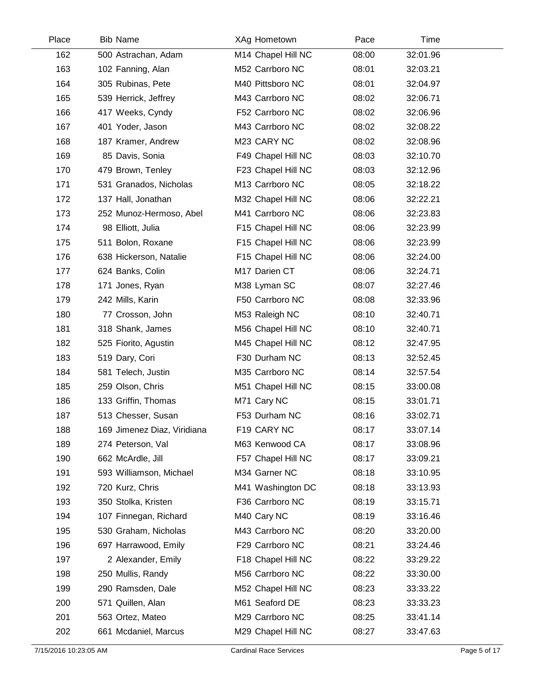| Place | <b>Bib Name</b>             | XAg Hometown       | Pace  | Time     |  |
|-------|-----------------------------|--------------------|-------|----------|--|
| 162   | 500 Astrachan, Adam         | M14 Chapel Hill NC | 08:00 | 32:01.96 |  |
| 163   | 102 Fanning, Alan           | M52 Carrboro NC    | 08:01 | 32:03.21 |  |
| 164   | 305 Rubinas, Pete           | M40 Pittsboro NC   | 08:01 | 32:04.97 |  |
| 165   | 539 Herrick, Jeffrey        | M43 Carrboro NC    | 08:02 | 32:06.71 |  |
| 166   | 417 Weeks, Cyndy            | F52 Carrboro NC    | 08:02 | 32:06.96 |  |
| 167   | 401 Yoder, Jason            | M43 Carrboro NC    | 08:02 | 32:08.22 |  |
| 168   | 187 Kramer, Andrew          | M23 CARY NC        | 08:02 | 32:08.96 |  |
| 169   | 85 Davis, Sonia             | F49 Chapel Hill NC | 08:03 | 32:10.70 |  |
| 170   | 479 Brown, Tenley           | F23 Chapel Hill NC | 08:03 | 32:12.96 |  |
| 171   | 531 Granados, Nicholas      | M13 Carrboro NC    | 08:05 | 32:18.22 |  |
| 172   | 137 Hall, Jonathan          | M32 Chapel Hill NC | 08:06 | 32:22.21 |  |
| 173   | 252 Munoz-Hermoso, Abel     | M41 Carrboro NC    | 08:06 | 32:23.83 |  |
| 174   | 98 Elliott, Julia           | F15 Chapel Hill NC | 08:06 | 32:23.99 |  |
| 175   | 511 Bolon, Roxane           | F15 Chapel Hill NC | 08:06 | 32:23.99 |  |
| 176   | 638 Hickerson, Natalie      | F15 Chapel Hill NC | 08:06 | 32:24.00 |  |
| 177   | 624 Banks, Colin            | M17 Darien CT      | 08:06 | 32:24.71 |  |
| 178   | 171 Jones, Ryan             | M38 Lyman SC       | 08:07 | 32:27.46 |  |
| 179   | 242 Mills, Karin            | F50 Carrboro NC    | 08:08 | 32:33.96 |  |
| 180   | 77 Crosson, John            | M53 Raleigh NC     | 08:10 | 32:40.71 |  |
| 181   | 318 Shank, James            | M56 Chapel Hill NC | 08:10 | 32:40.71 |  |
| 182   | 525 Fiorito, Agustin        | M45 Chapel Hill NC | 08:12 | 32:47.95 |  |
| 183   | 519 Dary, Cori              | F30 Durham NC      | 08:13 | 32:52.45 |  |
| 184   | 581 Telech, Justin          | M35 Carrboro NC    | 08:14 | 32:57.54 |  |
| 185   | 259 Olson, Chris            | M51 Chapel Hill NC | 08:15 | 33:00.08 |  |
| 186   | 133 Griffin, Thomas         | M71 Cary NC        | 08:15 | 33:01.71 |  |
| 187   | 513 Chesser, Susan          | F53 Durham NC      | 08:16 | 33:02.71 |  |
| 188   | 169 Jimenez Diaz, Viridiana | F19 CARY NC        | 08:17 | 33:07.14 |  |
| 189   | 274 Peterson, Val           | M63 Kenwood CA     | 08:17 | 33:08.96 |  |
| 190   | 662 McArdle, Jill           | F57 Chapel Hill NC | 08:17 | 33:09.21 |  |
| 191   | 593 Williamson, Michael     | M34 Garner NC      | 08:18 | 33:10.95 |  |
| 192   | 720 Kurz, Chris             | M41 Washington DC  | 08:18 | 33:13.93 |  |
| 193   | 350 Stolka, Kristen         | F36 Carrboro NC    | 08:19 | 33:15.71 |  |
| 194   | 107 Finnegan, Richard       | M40 Cary NC        | 08:19 | 33:16.46 |  |
| 195   | 530 Graham, Nicholas        | M43 Carrboro NC    | 08:20 | 33:20.00 |  |
| 196   | 697 Harrawood, Emily        | F29 Carrboro NC    | 08:21 | 33:24.46 |  |
| 197   | 2 Alexander, Emily          | F18 Chapel Hill NC | 08:22 | 33:29.22 |  |
| 198   | 250 Mullis, Randy           | M56 Carrboro NC    | 08:22 | 33:30.00 |  |
| 199   | 290 Ramsden, Dale           | M52 Chapel Hill NC | 08:23 | 33:33.22 |  |
| 200   | 571 Quillen, Alan           | M61 Seaford DE     | 08:23 | 33:33.23 |  |
| 201   | 563 Ortez, Mateo            | M29 Carrboro NC    | 08:25 | 33:41.14 |  |
| 202   | 661 Mcdaniel, Marcus        | M29 Chapel Hill NC | 08:27 | 33:47.63 |  |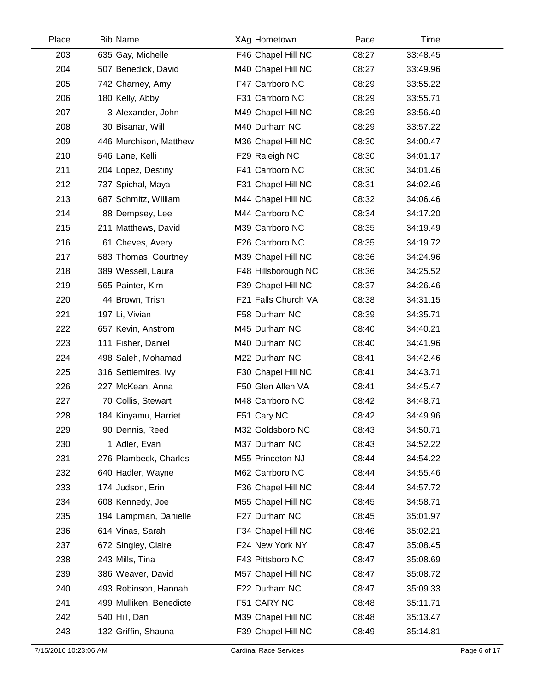| Place | <b>Bib Name</b>         | XAg Hometown        | Pace  | Time     |  |
|-------|-------------------------|---------------------|-------|----------|--|
| 203   | 635 Gay, Michelle       | F46 Chapel Hill NC  | 08:27 | 33:48.45 |  |
| 204   | 507 Benedick, David     | M40 Chapel Hill NC  | 08:27 | 33:49.96 |  |
| 205   | 742 Charney, Amy        | F47 Carrboro NC     | 08:29 | 33:55.22 |  |
| 206   | 180 Kelly, Abby         | F31 Carrboro NC     | 08:29 | 33:55.71 |  |
| 207   | 3 Alexander, John       | M49 Chapel Hill NC  | 08:29 | 33:56.40 |  |
| 208   | 30 Bisanar, Will        | M40 Durham NC       | 08:29 | 33:57.22 |  |
| 209   | 446 Murchison, Matthew  | M36 Chapel Hill NC  | 08:30 | 34:00.47 |  |
| 210   | 546 Lane, Kelli         | F29 Raleigh NC      | 08:30 | 34:01.17 |  |
| 211   | 204 Lopez, Destiny      | F41 Carrboro NC     | 08:30 | 34:01.46 |  |
| 212   | 737 Spichal, Maya       | F31 Chapel Hill NC  | 08:31 | 34:02.46 |  |
| 213   | 687 Schmitz, William    | M44 Chapel Hill NC  | 08:32 | 34:06.46 |  |
| 214   | 88 Dempsey, Lee         | M44 Carrboro NC     | 08:34 | 34:17.20 |  |
| 215   | 211 Matthews, David     | M39 Carrboro NC     | 08:35 | 34:19.49 |  |
| 216   | 61 Cheves, Avery        | F26 Carrboro NC     | 08:35 | 34:19.72 |  |
| 217   | 583 Thomas, Courtney    | M39 Chapel Hill NC  | 08:36 | 34:24.96 |  |
| 218   | 389 Wessell, Laura      | F48 Hillsborough NC | 08:36 | 34:25.52 |  |
| 219   | 565 Painter, Kim        | F39 Chapel Hill NC  | 08:37 | 34:26.46 |  |
| 220   | 44 Brown, Trish         | F21 Falls Church VA | 08:38 | 34:31.15 |  |
| 221   | 197 Li, Vivian          | F58 Durham NC       | 08:39 | 34:35.71 |  |
| 222   | 657 Kevin, Anstrom      | M45 Durham NC       | 08:40 | 34:40.21 |  |
| 223   | 111 Fisher, Daniel      | M40 Durham NC       | 08:40 | 34:41.96 |  |
| 224   | 498 Saleh, Mohamad      | M22 Durham NC       | 08:41 | 34:42.46 |  |
| 225   | 316 Settlemires, Ivy    | F30 Chapel Hill NC  | 08:41 | 34:43.71 |  |
| 226   | 227 McKean, Anna        | F50 Glen Allen VA   | 08:41 | 34:45.47 |  |
| 227   | 70 Collis, Stewart      | M48 Carrboro NC     | 08:42 | 34:48.71 |  |
| 228   | 184 Kinyamu, Harriet    | F51 Cary NC         | 08:42 | 34:49.96 |  |
| 229   | 90 Dennis, Reed         | M32 Goldsboro NC    | 08:43 | 34:50.71 |  |
| 230   | 1 Adler, Evan           | M37 Durham NC       | 08:43 | 34:52.22 |  |
| 231   | 276 Plambeck, Charles   | M55 Princeton NJ    | 08:44 | 34:54.22 |  |
| 232   | 640 Hadler, Wayne       | M62 Carrboro NC     | 08:44 | 34:55.46 |  |
| 233   | 174 Judson, Erin        | F36 Chapel Hill NC  | 08:44 | 34:57.72 |  |
| 234   | 608 Kennedy, Joe        | M55 Chapel Hill NC  | 08:45 | 34:58.71 |  |
| 235   | 194 Lampman, Danielle   | F27 Durham NC       | 08:45 | 35:01.97 |  |
| 236   | 614 Vinas, Sarah        | F34 Chapel Hill NC  | 08:46 | 35:02.21 |  |
| 237   | 672 Singley, Claire     | F24 New York NY     | 08:47 | 35:08.45 |  |
| 238   | 243 Mills, Tina         | F43 Pittsboro NC    | 08:47 | 35:08.69 |  |
| 239   | 386 Weaver, David       | M57 Chapel Hill NC  | 08:47 | 35:08.72 |  |
| 240   | 493 Robinson, Hannah    | F22 Durham NC       | 08:47 | 35:09.33 |  |
| 241   | 499 Mulliken, Benedicte | F51 CARY NC         | 08:48 | 35:11.71 |  |
| 242   | 540 Hill, Dan           | M39 Chapel Hill NC  | 08:48 | 35:13.47 |  |
| 243   | 132 Griffin, Shauna     | F39 Chapel Hill NC  | 08:49 | 35:14.81 |  |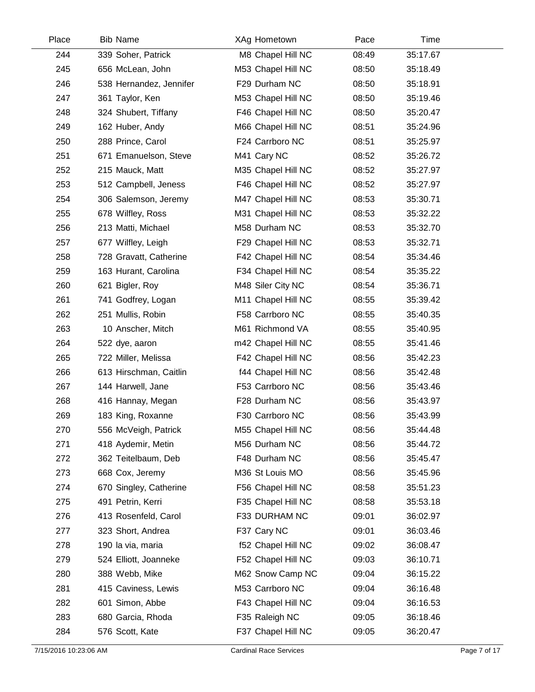| Place | <b>Bib Name</b>         | XAg Hometown       | Pace  | Time     |  |
|-------|-------------------------|--------------------|-------|----------|--|
| 244   | 339 Soher, Patrick      | M8 Chapel Hill NC  | 08:49 | 35:17.67 |  |
| 245   | 656 McLean, John        | M53 Chapel Hill NC | 08:50 | 35:18.49 |  |
| 246   | 538 Hernandez, Jennifer | F29 Durham NC      | 08:50 | 35:18.91 |  |
| 247   | 361 Taylor, Ken         | M53 Chapel Hill NC | 08:50 | 35:19.46 |  |
| 248   | 324 Shubert, Tiffany    | F46 Chapel Hill NC | 08:50 | 35:20.47 |  |
| 249   | 162 Huber, Andy         | M66 Chapel Hill NC | 08:51 | 35:24.96 |  |
| 250   | 288 Prince, Carol       | F24 Carrboro NC    | 08:51 | 35:25.97 |  |
| 251   | 671 Emanuelson, Steve   | M41 Cary NC        | 08:52 | 35:26.72 |  |
| 252   | 215 Mauck, Matt         | M35 Chapel Hill NC | 08:52 | 35:27.97 |  |
| 253   | 512 Campbell, Jeness    | F46 Chapel Hill NC | 08:52 | 35:27.97 |  |
| 254   | 306 Salemson, Jeremy    | M47 Chapel Hill NC | 08:53 | 35:30.71 |  |
| 255   | 678 Wilfley, Ross       | M31 Chapel Hill NC | 08:53 | 35:32.22 |  |
| 256   | 213 Matti, Michael      | M58 Durham NC      | 08:53 | 35:32.70 |  |
| 257   | 677 Wilfley, Leigh      | F29 Chapel Hill NC | 08:53 | 35:32.71 |  |
| 258   | 728 Gravatt, Catherine  | F42 Chapel Hill NC | 08:54 | 35:34.46 |  |
| 259   | 163 Hurant, Carolina    | F34 Chapel Hill NC | 08:54 | 35:35.22 |  |
| 260   | 621 Bigler, Roy         | M48 Siler City NC  | 08:54 | 35:36.71 |  |
| 261   | 741 Godfrey, Logan      | M11 Chapel Hill NC | 08:55 | 35:39.42 |  |
| 262   | 251 Mullis, Robin       | F58 Carrboro NC    | 08:55 | 35:40.35 |  |
| 263   | 10 Anscher, Mitch       | M61 Richmond VA    | 08:55 | 35:40.95 |  |
| 264   | 522 dye, aaron          | m42 Chapel Hill NC | 08:55 | 35:41.46 |  |
| 265   | 722 Miller, Melissa     | F42 Chapel Hill NC | 08:56 | 35:42.23 |  |
| 266   | 613 Hirschman, Caitlin  | f44 Chapel Hill NC | 08:56 | 35:42.48 |  |
| 267   | 144 Harwell, Jane       | F53 Carrboro NC    | 08:56 | 35:43.46 |  |
| 268   | 416 Hannay, Megan       | F28 Durham NC      | 08:56 | 35:43.97 |  |
| 269   | 183 King, Roxanne       | F30 Carrboro NC    | 08:56 | 35:43.99 |  |
| 270   | 556 McVeigh, Patrick    | M55 Chapel Hill NC | 08:56 | 35:44.48 |  |
| 271   | 418 Aydemir, Metin      | M56 Durham NC      | 08:56 | 35:44.72 |  |
| 272   | 362 Teitelbaum, Deb     | F48 Durham NC      | 08:56 | 35:45.47 |  |
| 273   | 668 Cox, Jeremy         | M36 St Louis MO    | 08:56 | 35:45.96 |  |
| 274   | 670 Singley, Catherine  | F56 Chapel Hill NC | 08:58 | 35:51.23 |  |
| 275   | 491 Petrin, Kerri       | F35 Chapel Hill NC | 08:58 | 35:53.18 |  |
| 276   | 413 Rosenfeld, Carol    | F33 DURHAM NC      | 09:01 | 36:02.97 |  |
| 277   | 323 Short, Andrea       | F37 Cary NC        | 09:01 | 36:03.46 |  |
| 278   | 190 la via, maria       | f52 Chapel Hill NC | 09:02 | 36:08.47 |  |
| 279   | 524 Elliott, Joanneke   | F52 Chapel Hill NC | 09:03 | 36:10.71 |  |
| 280   | 388 Webb, Mike          | M62 Snow Camp NC   | 09:04 | 36:15.22 |  |
| 281   | 415 Caviness, Lewis     | M53 Carrboro NC    | 09:04 | 36:16.48 |  |
| 282   | 601 Simon, Abbe         | F43 Chapel Hill NC | 09:04 | 36:16.53 |  |
| 283   | 680 Garcia, Rhoda       | F35 Raleigh NC     | 09:05 | 36:18.46 |  |
| 284   | 576 Scott, Kate         | F37 Chapel Hill NC | 09:05 | 36:20.47 |  |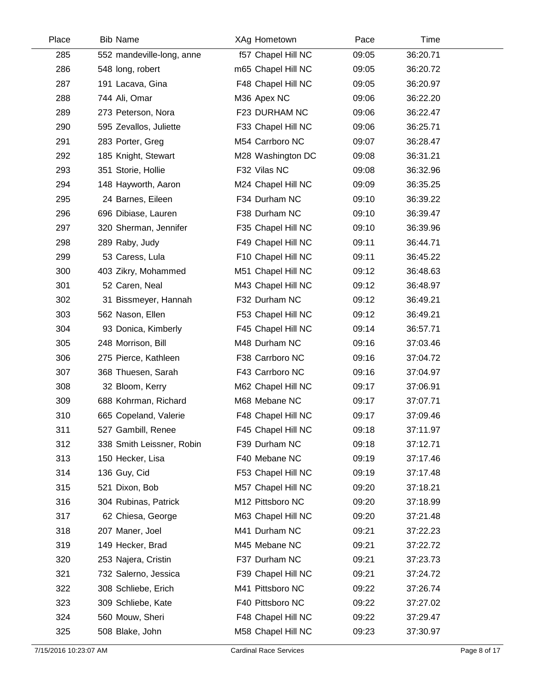| Place | <b>Bib Name</b>           | XAg Hometown       | Pace  | Time     |  |
|-------|---------------------------|--------------------|-------|----------|--|
| 285   | 552 mandeville-long, anne | f57 Chapel Hill NC | 09:05 | 36:20.71 |  |
| 286   | 548 long, robert          | m65 Chapel Hill NC | 09:05 | 36:20.72 |  |
| 287   | 191 Lacava, Gina          | F48 Chapel Hill NC | 09:05 | 36:20.97 |  |
| 288   | 744 Ali, Omar             | M36 Apex NC        | 09:06 | 36:22.20 |  |
| 289   | 273 Peterson, Nora        | F23 DURHAM NC      | 09:06 | 36:22.47 |  |
| 290   | 595 Zevallos, Juliette    | F33 Chapel Hill NC | 09:06 | 36:25.71 |  |
| 291   | 283 Porter, Greg          | M54 Carrboro NC    | 09:07 | 36:28.47 |  |
| 292   | 185 Knight, Stewart       | M28 Washington DC  | 09:08 | 36:31.21 |  |
| 293   | 351 Storie, Hollie        | F32 Vilas NC       | 09:08 | 36:32.96 |  |
| 294   | 148 Hayworth, Aaron       | M24 Chapel Hill NC | 09:09 | 36:35.25 |  |
| 295   | 24 Barnes, Eileen         | F34 Durham NC      | 09:10 | 36:39.22 |  |
| 296   | 696 Dibiase, Lauren       | F38 Durham NC      | 09:10 | 36:39.47 |  |
| 297   | 320 Sherman, Jennifer     | F35 Chapel Hill NC | 09:10 | 36:39.96 |  |
| 298   | 289 Raby, Judy            | F49 Chapel Hill NC | 09:11 | 36:44.71 |  |
| 299   | 53 Caress, Lula           | F10 Chapel Hill NC | 09:11 | 36:45.22 |  |
| 300   | 403 Zikry, Mohammed       | M51 Chapel Hill NC | 09:12 | 36:48.63 |  |
| 301   | 52 Caren, Neal            | M43 Chapel Hill NC | 09:12 | 36:48.97 |  |
| 302   | 31 Bissmeyer, Hannah      | F32 Durham NC      | 09:12 | 36:49.21 |  |
| 303   | 562 Nason, Ellen          | F53 Chapel Hill NC | 09:12 | 36:49.21 |  |
| 304   | 93 Donica, Kimberly       | F45 Chapel Hill NC | 09:14 | 36:57.71 |  |
| 305   | 248 Morrison, Bill        | M48 Durham NC      | 09:16 | 37:03.46 |  |
| 306   | 275 Pierce, Kathleen      | F38 Carrboro NC    | 09:16 | 37:04.72 |  |
| 307   | 368 Thuesen, Sarah        | F43 Carrboro NC    | 09:16 | 37:04.97 |  |
| 308   | 32 Bloom, Kerry           | M62 Chapel Hill NC | 09:17 | 37:06.91 |  |
| 309   | 688 Kohrman, Richard      | M68 Mebane NC      | 09:17 | 37:07.71 |  |
| 310   | 665 Copeland, Valerie     | F48 Chapel Hill NC | 09:17 | 37:09.46 |  |
| 311   | 527 Gambill, Renee        | F45 Chapel Hill NC | 09:18 | 37:11.97 |  |
| 312   | 338 Smith Leissner, Robin | F39 Durham NC      | 09:18 | 37:12.71 |  |
| 313   | 150 Hecker, Lisa          | F40 Mebane NC      | 09:19 | 37:17.46 |  |
| 314   | 136 Guy, Cid              | F53 Chapel Hill NC | 09:19 | 37:17.48 |  |
| 315   | 521 Dixon, Bob            | M57 Chapel Hill NC | 09:20 | 37:18.21 |  |
| 316   | 304 Rubinas, Patrick      | M12 Pittsboro NC   | 09:20 | 37:18.99 |  |
| 317   | 62 Chiesa, George         | M63 Chapel Hill NC | 09:20 | 37:21.48 |  |
| 318   | 207 Maner, Joel           | M41 Durham NC      | 09:21 | 37:22.23 |  |
| 319   | 149 Hecker, Brad          | M45 Mebane NC      | 09:21 | 37:22.72 |  |
| 320   | 253 Najera, Cristin       | F37 Durham NC      | 09:21 | 37:23.73 |  |
| 321   | 732 Salerno, Jessica      | F39 Chapel Hill NC | 09:21 | 37:24.72 |  |
| 322   | 308 Schliebe, Erich       | M41 Pittsboro NC   | 09:22 | 37:26.74 |  |
| 323   | 309 Schliebe, Kate        | F40 Pittsboro NC   | 09:22 | 37:27.02 |  |
| 324   | 560 Mouw, Sheri           | F48 Chapel Hill NC | 09:22 | 37:29.47 |  |
| 325   | 508 Blake, John           | M58 Chapel Hill NC | 09:23 | 37:30.97 |  |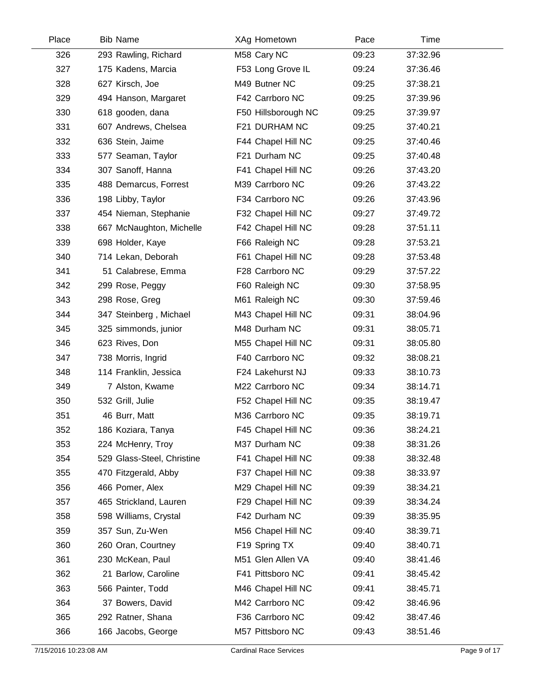| Place | <b>Bib Name</b>            | XAg Hometown        | Pace  | Time     |  |
|-------|----------------------------|---------------------|-------|----------|--|
| 326   | 293 Rawling, Richard       | M58 Cary NC         | 09:23 | 37:32.96 |  |
| 327   | 175 Kadens, Marcia         | F53 Long Grove IL   | 09:24 | 37:36.46 |  |
| 328   | 627 Kirsch, Joe            | M49 Butner NC       | 09:25 | 37:38.21 |  |
| 329   | 494 Hanson, Margaret       | F42 Carrboro NC     | 09:25 | 37:39.96 |  |
| 330   | 618 gooden, dana           | F50 Hillsborough NC | 09:25 | 37:39.97 |  |
| 331   | 607 Andrews, Chelsea       | F21 DURHAM NC       | 09:25 | 37:40.21 |  |
| 332   | 636 Stein, Jaime           | F44 Chapel Hill NC  | 09:25 | 37:40.46 |  |
| 333   | 577 Seaman, Taylor         | F21 Durham NC       | 09:25 | 37:40.48 |  |
| 334   | 307 Sanoff, Hanna          | F41 Chapel Hill NC  | 09:26 | 37:43.20 |  |
| 335   | 488 Demarcus, Forrest      | M39 Carrboro NC     | 09:26 | 37:43.22 |  |
| 336   | 198 Libby, Taylor          | F34 Carrboro NC     | 09:26 | 37:43.96 |  |
| 337   | 454 Nieman, Stephanie      | F32 Chapel Hill NC  | 09:27 | 37:49.72 |  |
| 338   | 667 McNaughton, Michelle   | F42 Chapel Hill NC  | 09:28 | 37:51.11 |  |
| 339   | 698 Holder, Kaye           | F66 Raleigh NC      | 09:28 | 37:53.21 |  |
| 340   | 714 Lekan, Deborah         | F61 Chapel Hill NC  | 09:28 | 37:53.48 |  |
| 341   | 51 Calabrese, Emma         | F28 Carrboro NC     | 09:29 | 37:57.22 |  |
| 342   | 299 Rose, Peggy            | F60 Raleigh NC      | 09:30 | 37:58.95 |  |
| 343   | 298 Rose, Greg             | M61 Raleigh NC      | 09:30 | 37:59.46 |  |
| 344   | 347 Steinberg, Michael     | M43 Chapel Hill NC  | 09:31 | 38:04.96 |  |
| 345   | 325 simmonds, junior       | M48 Durham NC       | 09:31 | 38:05.71 |  |
| 346   | 623 Rives, Don             | M55 Chapel Hill NC  | 09:31 | 38:05.80 |  |
| 347   | 738 Morris, Ingrid         | F40 Carrboro NC     | 09:32 | 38:08.21 |  |
| 348   | 114 Franklin, Jessica      | F24 Lakehurst NJ    | 09:33 | 38:10.73 |  |
| 349   | 7 Alston, Kwame            | M22 Carrboro NC     | 09:34 | 38:14.71 |  |
| 350   | 532 Grill, Julie           | F52 Chapel Hill NC  | 09:35 | 38:19.47 |  |
| 351   | 46 Burr, Matt              | M36 Carrboro NC     | 09:35 | 38:19.71 |  |
| 352   | 186 Koziara, Tanya         | F45 Chapel Hill NC  | 09:36 | 38:24.21 |  |
| 353   | 224 McHenry, Troy          | M37 Durham NC       | 09:38 | 38:31.26 |  |
| 354   | 529 Glass-Steel, Christine | F41 Chapel Hill NC  | 09:38 | 38:32.48 |  |
| 355   | 470 Fitzgerald, Abby       | F37 Chapel Hill NC  | 09:38 | 38:33.97 |  |
| 356   | 466 Pomer, Alex            | M29 Chapel Hill NC  | 09:39 | 38:34.21 |  |
| 357   | 465 Strickland, Lauren     | F29 Chapel Hill NC  | 09:39 | 38:34.24 |  |
| 358   | 598 Williams, Crystal      | F42 Durham NC       | 09:39 | 38:35.95 |  |
| 359   | 357 Sun, Zu-Wen            | M56 Chapel Hill NC  | 09:40 | 38:39.71 |  |
| 360   | 260 Oran, Courtney         | F19 Spring TX       | 09:40 | 38:40.71 |  |
| 361   | 230 McKean, Paul           | M51 Glen Allen VA   | 09:40 | 38:41.46 |  |
| 362   | 21 Barlow, Caroline        | F41 Pittsboro NC    | 09:41 | 38:45.42 |  |
| 363   | 566 Painter, Todd          | M46 Chapel Hill NC  | 09:41 | 38:45.71 |  |
| 364   | 37 Bowers, David           | M42 Carrboro NC     | 09:42 | 38:46.96 |  |
| 365   | 292 Ratner, Shana          | F36 Carrboro NC     | 09:42 | 38:47.46 |  |
| 366   | 166 Jacobs, George         | M57 Pittsboro NC    | 09:43 | 38:51.46 |  |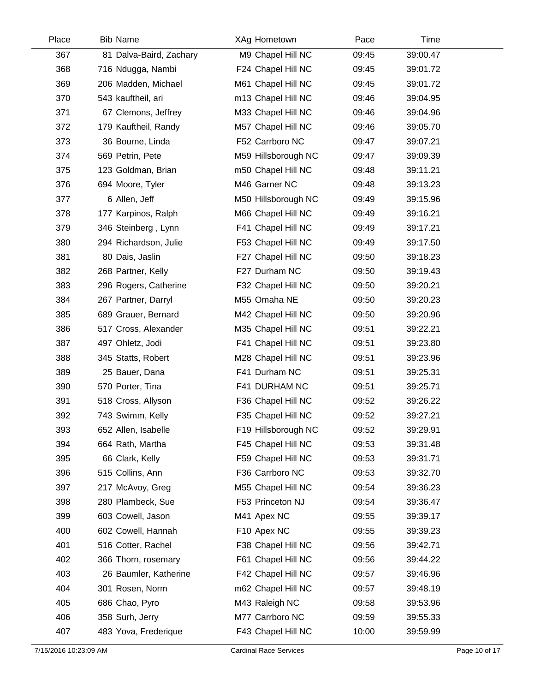| Place | <b>Bib Name</b>         | XAg Hometown        | Pace  | Time     |  |
|-------|-------------------------|---------------------|-------|----------|--|
| 367   | 81 Dalva-Baird, Zachary | M9 Chapel Hill NC   | 09:45 | 39:00.47 |  |
| 368   | 716 Ndugga, Nambi       | F24 Chapel Hill NC  | 09:45 | 39:01.72 |  |
| 369   | 206 Madden, Michael     | M61 Chapel Hill NC  | 09:45 | 39:01.72 |  |
| 370   | 543 kauftheil, ari      | m13 Chapel Hill NC  | 09:46 | 39:04.95 |  |
| 371   | 67 Clemons, Jeffrey     | M33 Chapel Hill NC  | 09:46 | 39:04.96 |  |
| 372   | 179 Kauftheil, Randy    | M57 Chapel Hill NC  | 09:46 | 39:05.70 |  |
| 373   | 36 Bourne, Linda        | F52 Carrboro NC     | 09:47 | 39:07.21 |  |
| 374   | 569 Petrin, Pete        | M59 Hillsborough NC | 09:47 | 39:09.39 |  |
| 375   | 123 Goldman, Brian      | m50 Chapel Hill NC  | 09:48 | 39:11.21 |  |
| 376   | 694 Moore, Tyler        | M46 Garner NC       | 09:48 | 39:13.23 |  |
| 377   | 6 Allen, Jeff           | M50 Hillsborough NC | 09:49 | 39:15.96 |  |
| 378   | 177 Karpinos, Ralph     | M66 Chapel Hill NC  | 09:49 | 39:16.21 |  |
| 379   | 346 Steinberg, Lynn     | F41 Chapel Hill NC  | 09:49 | 39:17.21 |  |
| 380   | 294 Richardson, Julie   | F53 Chapel Hill NC  | 09:49 | 39:17.50 |  |
| 381   | 80 Dais, Jaslin         | F27 Chapel Hill NC  | 09:50 | 39:18.23 |  |
| 382   | 268 Partner, Kelly      | F27 Durham NC       | 09:50 | 39:19.43 |  |
| 383   | 296 Rogers, Catherine   | F32 Chapel Hill NC  | 09:50 | 39:20.21 |  |
| 384   | 267 Partner, Darryl     | M55 Omaha NE        | 09:50 | 39:20.23 |  |
| 385   | 689 Grauer, Bernard     | M42 Chapel Hill NC  | 09:50 | 39:20.96 |  |
| 386   | 517 Cross, Alexander    | M35 Chapel Hill NC  | 09:51 | 39:22.21 |  |
| 387   | 497 Ohletz, Jodi        | F41 Chapel Hill NC  | 09:51 | 39:23.80 |  |
| 388   | 345 Statts, Robert      | M28 Chapel Hill NC  | 09:51 | 39:23.96 |  |
| 389   | 25 Bauer, Dana          | F41 Durham NC       | 09:51 | 39:25.31 |  |
| 390   | 570 Porter, Tina        | F41 DURHAM NC       | 09:51 | 39:25.71 |  |
| 391   | 518 Cross, Allyson      | F36 Chapel Hill NC  | 09:52 | 39:26.22 |  |
| 392   | 743 Swimm, Kelly        | F35 Chapel Hill NC  | 09:52 | 39:27.21 |  |
| 393   | 652 Allen, Isabelle     | F19 Hillsborough NC | 09:52 | 39:29.91 |  |
| 394   | 664 Rath, Martha        | F45 Chapel Hill NC  | 09:53 | 39:31.48 |  |
| 395   | 66 Clark, Kelly         | F59 Chapel Hill NC  | 09:53 | 39:31.71 |  |
| 396   | 515 Collins, Ann        | F36 Carrboro NC     | 09:53 | 39:32.70 |  |
| 397   | 217 McAvoy, Greg        | M55 Chapel Hill NC  | 09:54 | 39:36.23 |  |
| 398   | 280 Plambeck, Sue       | F53 Princeton NJ    | 09:54 | 39:36.47 |  |
| 399   | 603 Cowell, Jason       | M41 Apex NC         | 09:55 | 39:39.17 |  |
| 400   | 602 Cowell, Hannah      | F10 Apex NC         | 09:55 | 39:39.23 |  |
| 401   | 516 Cotter, Rachel      | F38 Chapel Hill NC  | 09:56 | 39:42.71 |  |
| 402   | 366 Thorn, rosemary     | F61 Chapel Hill NC  | 09:56 | 39:44.22 |  |
| 403   | 26 Baumler, Katherine   | F42 Chapel Hill NC  | 09:57 | 39:46.96 |  |
| 404   | 301 Rosen, Norm         | m62 Chapel Hill NC  | 09:57 | 39:48.19 |  |
| 405   | 686 Chao, Pyro          | M43 Raleigh NC      | 09:58 | 39:53.96 |  |
| 406   | 358 Surh, Jerry         | M77 Carrboro NC     | 09:59 | 39:55.33 |  |
| 407   | 483 Yova, Frederique    | F43 Chapel Hill NC  | 10:00 | 39:59.99 |  |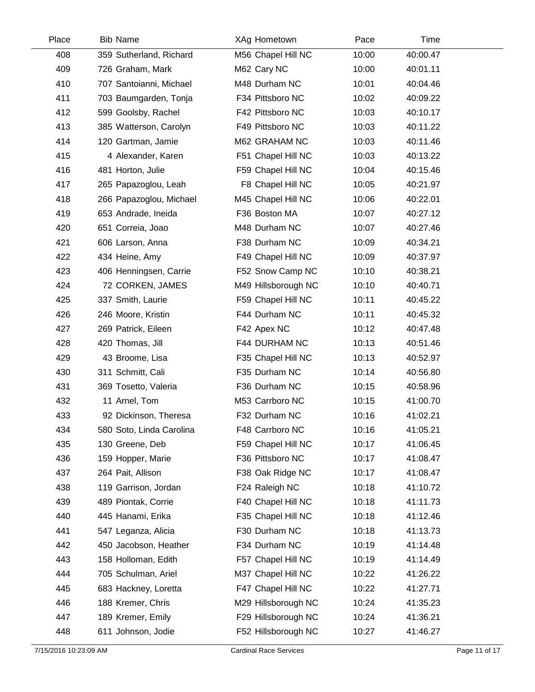| Place | <b>Bib Name</b>          | XAg Hometown        | Pace  | Time     |  |
|-------|--------------------------|---------------------|-------|----------|--|
| 408   | 359 Sutherland, Richard  | M56 Chapel Hill NC  | 10:00 | 40:00.47 |  |
| 409   | 726 Graham, Mark         | M62 Cary NC         | 10:00 | 40:01.11 |  |
| 410   | 707 Santoianni, Michael  | M48 Durham NC       | 10:01 | 40:04.46 |  |
| 411   | 703 Baumgarden, Tonja    | F34 Pittsboro NC    | 10:02 | 40:09.22 |  |
| 412   | 599 Goolsby, Rachel      | F42 Pittsboro NC    | 10:03 | 40:10.17 |  |
| 413   | 385 Watterson, Carolyn   | F49 Pittsboro NC    | 10:03 | 40:11.22 |  |
| 414   | 120 Gartman, Jamie       | M62 GRAHAM NC       | 10:03 | 40:11.46 |  |
| 415   | 4 Alexander, Karen       | F51 Chapel Hill NC  | 10:03 | 40:13.22 |  |
| 416   | 481 Horton, Julie        | F59 Chapel Hill NC  | 10:04 | 40:15.46 |  |
| 417   | 265 Papazoglou, Leah     | F8 Chapel Hill NC   | 10:05 | 40:21.97 |  |
| 418   | 266 Papazoglou, Michael  | M45 Chapel Hill NC  | 10:06 | 40:22.01 |  |
| 419   | 653 Andrade, Ineida      | F36 Boston MA       | 10:07 | 40:27.12 |  |
| 420   | 651 Correia, Joao        | M48 Durham NC       | 10:07 | 40:27.46 |  |
| 421   | 606 Larson, Anna         | F38 Durham NC       | 10:09 | 40:34.21 |  |
| 422   | 434 Heine, Amy           | F49 Chapel Hill NC  | 10:09 | 40:37.97 |  |
| 423   | 406 Henningsen, Carrie   | F52 Snow Camp NC    | 10:10 | 40:38.21 |  |
| 424   | 72 CORKEN, JAMES         | M49 Hillsborough NC | 10:10 | 40:40.71 |  |
| 425   | 337 Smith, Laurie        | F59 Chapel Hill NC  | 10:11 | 40:45.22 |  |
| 426   | 246 Moore, Kristin       | F44 Durham NC       | 10:11 | 40:45.32 |  |
| 427   | 269 Patrick, Eileen      | F42 Apex NC         | 10:12 | 40:47.48 |  |
| 428   | 420 Thomas, Jill         | F44 DURHAM NC       | 10:13 | 40:51.46 |  |
| 429   | 43 Broome, Lisa          | F35 Chapel Hill NC  | 10:13 | 40:52.97 |  |
| 430   | 311 Schmitt, Cali        | F35 Durham NC       | 10:14 | 40:56.80 |  |
| 431   | 369 Tosetto, Valeria     | F36 Durham NC       | 10:15 | 40:58.96 |  |
| 432   | 11 Arnel, Tom            | M53 Carrboro NC     | 10:15 | 41:00.70 |  |
| 433   | 92 Dickinson, Theresa    | F32 Durham NC       | 10:16 | 41:02.21 |  |
| 434   | 580 Soto, Linda Carolina | F48 Carrboro NC     | 10:16 | 41:05.21 |  |
| 435   | 130 Greene, Deb          | F59 Chapel Hill NC  | 10:17 | 41:06.45 |  |
| 436   | 159 Hopper, Marie        | F36 Pittsboro NC    | 10:17 | 41:08.47 |  |
| 437   | 264 Pait, Allison        | F38 Oak Ridge NC    | 10:17 | 41:08.47 |  |
| 438   | 119 Garrison, Jordan     | F24 Raleigh NC      | 10:18 | 41:10.72 |  |
| 439   | 489 Piontak, Corrie      | F40 Chapel Hill NC  | 10:18 | 41:11.73 |  |
| 440   | 445 Hanami, Erika        | F35 Chapel Hill NC  | 10:18 | 41:12.46 |  |
| 441   | 547 Leganza, Alicia      | F30 Durham NC       | 10:18 | 41:13.73 |  |
| 442   | 450 Jacobson, Heather    | F34 Durham NC       | 10:19 | 41:14.48 |  |
| 443   | 158 Holloman, Edith      | F57 Chapel Hill NC  | 10:19 | 41:14.49 |  |
| 444   | 705 Schulman, Ariel      | M37 Chapel Hill NC  | 10:22 | 41:26.22 |  |
| 445   | 683 Hackney, Loretta     | F47 Chapel Hill NC  | 10:22 | 41:27.71 |  |
| 446   | 188 Kremer, Chris        | M29 Hillsborough NC | 10:24 | 41:35.23 |  |
| 447   | 189 Kremer, Emily        | F29 Hillsborough NC | 10:24 | 41:36.21 |  |
| 448   | 611 Johnson, Jodie       | F52 Hillsborough NC | 10:27 | 41:46.27 |  |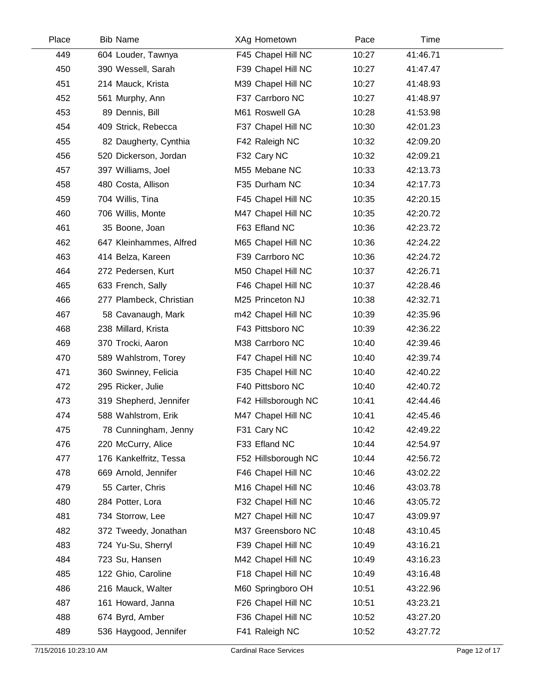| Place | <b>Bib Name</b>         | XAg Hometown        | Pace  | Time     |  |
|-------|-------------------------|---------------------|-------|----------|--|
| 449   | 604 Louder, Tawnya      | F45 Chapel Hill NC  | 10:27 | 41:46.71 |  |
| 450   | 390 Wessell, Sarah      | F39 Chapel Hill NC  | 10:27 | 41:47.47 |  |
| 451   | 214 Mauck, Krista       | M39 Chapel Hill NC  | 10:27 | 41:48.93 |  |
| 452   | 561 Murphy, Ann         | F37 Carrboro NC     | 10:27 | 41:48.97 |  |
| 453   | 89 Dennis, Bill         | M61 Roswell GA      | 10:28 | 41:53.98 |  |
| 454   | 409 Strick, Rebecca     | F37 Chapel Hill NC  | 10:30 | 42:01.23 |  |
| 455   | 82 Daugherty, Cynthia   | F42 Raleigh NC      | 10:32 | 42:09.20 |  |
| 456   | 520 Dickerson, Jordan   | F32 Cary NC         | 10:32 | 42:09.21 |  |
| 457   | 397 Williams, Joel      | M55 Mebane NC       | 10:33 | 42:13.73 |  |
| 458   | 480 Costa, Allison      | F35 Durham NC       | 10:34 | 42:17.73 |  |
| 459   | 704 Willis, Tina        | F45 Chapel Hill NC  | 10:35 | 42:20.15 |  |
| 460   | 706 Willis, Monte       | M47 Chapel Hill NC  | 10:35 | 42:20.72 |  |
| 461   | 35 Boone, Joan          | F63 Efland NC       | 10:36 | 42:23.72 |  |
| 462   | 647 Kleinhammes, Alfred | M65 Chapel Hill NC  | 10:36 | 42:24.22 |  |
| 463   | 414 Belza, Kareen       | F39 Carrboro NC     | 10:36 | 42:24.72 |  |
| 464   | 272 Pedersen, Kurt      | M50 Chapel Hill NC  | 10:37 | 42:26.71 |  |
| 465   | 633 French, Sally       | F46 Chapel Hill NC  | 10:37 | 42:28.46 |  |
| 466   | 277 Plambeck, Christian | M25 Princeton NJ    | 10:38 | 42:32.71 |  |
| 467   | 58 Cavanaugh, Mark      | m42 Chapel Hill NC  | 10:39 | 42:35.96 |  |
| 468   | 238 Millard, Krista     | F43 Pittsboro NC    | 10:39 | 42:36.22 |  |
| 469   | 370 Trocki, Aaron       | M38 Carrboro NC     | 10:40 | 42:39.46 |  |
| 470   | 589 Wahlstrom, Torey    | F47 Chapel Hill NC  | 10:40 | 42:39.74 |  |
| 471   | 360 Swinney, Felicia    | F35 Chapel Hill NC  | 10:40 | 42:40.22 |  |
| 472   | 295 Ricker, Julie       | F40 Pittsboro NC    | 10:40 | 42:40.72 |  |
| 473   | 319 Shepherd, Jennifer  | F42 Hillsborough NC | 10:41 | 42:44.46 |  |
| 474   | 588 Wahlstrom, Erik     | M47 Chapel Hill NC  | 10:41 | 42:45.46 |  |
| 475   | 78 Cunningham, Jenny    | F31 Cary NC         | 10:42 | 42:49.22 |  |
| 476   | 220 McCurry, Alice      | F33 Efland NC       | 10:44 | 42:54.97 |  |
| 477   | 176 Kankelfritz, Tessa  | F52 Hillsborough NC | 10:44 | 42:56.72 |  |
| 478   | 669 Arnold, Jennifer    | F46 Chapel Hill NC  | 10:46 | 43:02.22 |  |
| 479   | 55 Carter, Chris        | M16 Chapel Hill NC  | 10:46 | 43:03.78 |  |
| 480   | 284 Potter, Lora        | F32 Chapel Hill NC  | 10:46 | 43:05.72 |  |
| 481   | 734 Storrow, Lee        | M27 Chapel Hill NC  | 10:47 | 43:09.97 |  |
| 482   | 372 Tweedy, Jonathan    | M37 Greensboro NC   | 10:48 | 43:10.45 |  |
| 483   | 724 Yu-Su, Sherryl      | F39 Chapel Hill NC  | 10:49 | 43:16.21 |  |
| 484   | 723 Su, Hansen          | M42 Chapel Hill NC  | 10:49 | 43:16.23 |  |
| 485   | 122 Ghio, Caroline      | F18 Chapel Hill NC  | 10:49 | 43:16.48 |  |
| 486   | 216 Mauck, Walter       | M60 Springboro OH   | 10:51 | 43:22.96 |  |
| 487   | 161 Howard, Janna       | F26 Chapel Hill NC  | 10:51 | 43:23.21 |  |
| 488   | 674 Byrd, Amber         | F36 Chapel Hill NC  | 10:52 | 43:27.20 |  |
| 489   | 536 Haygood, Jennifer   | F41 Raleigh NC      | 10:52 | 43:27.72 |  |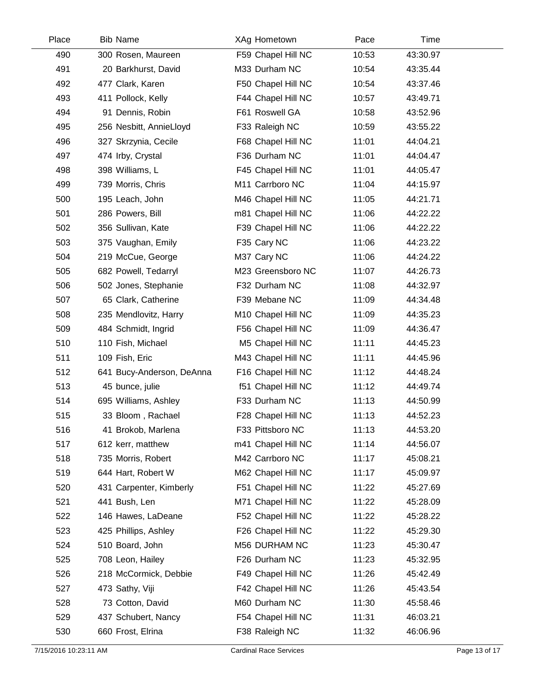| Place | <b>Bib Name</b>           | XAg Hometown       | Pace  | Time     |  |
|-------|---------------------------|--------------------|-------|----------|--|
| 490   | 300 Rosen, Maureen        | F59 Chapel Hill NC | 10:53 | 43:30.97 |  |
| 491   | 20 Barkhurst, David       | M33 Durham NC      | 10:54 | 43:35.44 |  |
| 492   | 477 Clark, Karen          | F50 Chapel Hill NC | 10:54 | 43:37.46 |  |
| 493   | 411 Pollock, Kelly        | F44 Chapel Hill NC | 10:57 | 43:49.71 |  |
| 494   | 91 Dennis, Robin          | F61 Roswell GA     | 10:58 | 43:52.96 |  |
| 495   | 256 Nesbitt, AnnieLloyd   | F33 Raleigh NC     | 10:59 | 43:55.22 |  |
| 496   | 327 Skrzynia, Cecile      | F68 Chapel Hill NC | 11:01 | 44:04.21 |  |
| 497   | 474 Irby, Crystal         | F36 Durham NC      | 11:01 | 44:04.47 |  |
| 498   | 398 Williams, L           | F45 Chapel Hill NC | 11:01 | 44:05.47 |  |
| 499   | 739 Morris, Chris         | M11 Carrboro NC    | 11:04 | 44:15.97 |  |
| 500   | 195 Leach, John           | M46 Chapel Hill NC | 11:05 | 44:21.71 |  |
| 501   | 286 Powers, Bill          | m81 Chapel Hill NC | 11:06 | 44:22.22 |  |
| 502   | 356 Sullivan, Kate        | F39 Chapel Hill NC | 11:06 | 44:22.22 |  |
| 503   | 375 Vaughan, Emily        | F35 Cary NC        | 11:06 | 44:23.22 |  |
| 504   | 219 McCue, George         | M37 Cary NC        | 11:06 | 44:24.22 |  |
| 505   | 682 Powell, Tedarryl      | M23 Greensboro NC  | 11:07 | 44:26.73 |  |
| 506   | 502 Jones, Stephanie      | F32 Durham NC      | 11:08 | 44:32.97 |  |
| 507   | 65 Clark, Catherine       | F39 Mebane NC      | 11:09 | 44:34.48 |  |
| 508   | 235 Mendlovitz, Harry     | M10 Chapel Hill NC | 11:09 | 44:35.23 |  |
| 509   | 484 Schmidt, Ingrid       | F56 Chapel Hill NC | 11:09 | 44:36.47 |  |
| 510   | 110 Fish, Michael         | M5 Chapel Hill NC  | 11:11 | 44:45.23 |  |
| 511   | 109 Fish, Eric            | M43 Chapel Hill NC | 11:11 | 44:45.96 |  |
| 512   | 641 Bucy-Anderson, DeAnna | F16 Chapel Hill NC | 11:12 | 44:48.24 |  |
| 513   | 45 bunce, julie           | f51 Chapel Hill NC | 11:12 | 44:49.74 |  |
| 514   | 695 Williams, Ashley      | F33 Durham NC      | 11:13 | 44:50.99 |  |
| 515   | 33 Bloom, Rachael         | F28 Chapel Hill NC | 11:13 | 44:52.23 |  |
| 516   | 41 Brokob, Marlena        | F33 Pittsboro NC   | 11:13 | 44:53.20 |  |
| 517   | 612 kerr, matthew         | m41 Chapel Hill NC | 11:14 | 44:56.07 |  |
| 518   | 735 Morris, Robert        | M42 Carrboro NC    | 11:17 | 45:08.21 |  |
| 519   | 644 Hart, Robert W        | M62 Chapel Hill NC | 11:17 | 45:09.97 |  |
| 520   | 431 Carpenter, Kimberly   | F51 Chapel Hill NC | 11:22 | 45:27.69 |  |
| 521   | 441 Bush, Len             | M71 Chapel Hill NC | 11:22 | 45:28.09 |  |
| 522   | 146 Hawes, LaDeane        | F52 Chapel Hill NC | 11:22 | 45:28.22 |  |
| 523   | 425 Phillips, Ashley      | F26 Chapel Hill NC | 11:22 | 45:29.30 |  |
| 524   | 510 Board, John           | M56 DURHAM NC      | 11:23 | 45:30.47 |  |
| 525   | 708 Leon, Hailey          | F26 Durham NC      | 11:23 | 45:32.95 |  |
| 526   | 218 McCormick, Debbie     | F49 Chapel Hill NC | 11:26 | 45:42.49 |  |
| 527   | 473 Sathy, Viji           | F42 Chapel Hill NC | 11:26 | 45:43.54 |  |
| 528   | 73 Cotton, David          | M60 Durham NC      | 11:30 | 45:58.46 |  |
| 529   | 437 Schubert, Nancy       | F54 Chapel Hill NC | 11:31 | 46:03.21 |  |
| 530   | 660 Frost, Elrina         | F38 Raleigh NC     | 11:32 | 46:06.96 |  |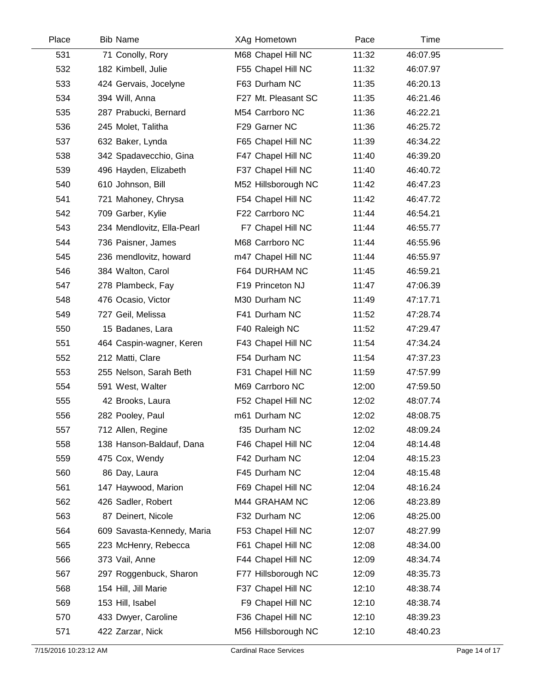| Place | <b>Bib Name</b>            | XAg Hometown        | Pace  | Time     |  |
|-------|----------------------------|---------------------|-------|----------|--|
| 531   | 71 Conolly, Rory           | M68 Chapel Hill NC  | 11:32 | 46:07.95 |  |
| 532   | 182 Kimbell, Julie         | F55 Chapel Hill NC  | 11:32 | 46:07.97 |  |
| 533   | 424 Gervais, Jocelyne      | F63 Durham NC       | 11:35 | 46:20.13 |  |
| 534   | 394 Will, Anna             | F27 Mt. Pleasant SC | 11:35 | 46:21.46 |  |
| 535   | 287 Prabucki, Bernard      | M54 Carrboro NC     | 11:36 | 46:22.21 |  |
| 536   | 245 Molet, Talitha         | F29 Garner NC       | 11:36 | 46:25.72 |  |
| 537   | 632 Baker, Lynda           | F65 Chapel Hill NC  | 11:39 | 46:34.22 |  |
| 538   | 342 Spadavecchio, Gina     | F47 Chapel Hill NC  | 11:40 | 46:39.20 |  |
| 539   | 496 Hayden, Elizabeth      | F37 Chapel Hill NC  | 11:40 | 46:40.72 |  |
| 540   | 610 Johnson, Bill          | M52 Hillsborough NC | 11:42 | 46:47.23 |  |
| 541   | 721 Mahoney, Chrysa        | F54 Chapel Hill NC  | 11:42 | 46:47.72 |  |
| 542   | 709 Garber, Kylie          | F22 Carrboro NC     | 11:44 | 46:54.21 |  |
| 543   | 234 Mendlovitz, Ella-Pearl | F7 Chapel Hill NC   | 11:44 | 46:55.77 |  |
| 544   | 736 Paisner, James         | M68 Carrboro NC     | 11:44 | 46:55.96 |  |
| 545   | 236 mendlovitz, howard     | m47 Chapel Hill NC  | 11:44 | 46:55.97 |  |
| 546   | 384 Walton, Carol          | F64 DURHAM NC       | 11:45 | 46:59.21 |  |
| 547   | 278 Plambeck, Fay          | F19 Princeton NJ    | 11:47 | 47:06.39 |  |
| 548   | 476 Ocasio, Victor         | M30 Durham NC       | 11:49 | 47:17.71 |  |
| 549   | 727 Geil, Melissa          | F41 Durham NC       | 11:52 | 47:28.74 |  |
| 550   | 15 Badanes, Lara           | F40 Raleigh NC      | 11:52 | 47:29.47 |  |
| 551   | 464 Caspin-wagner, Keren   | F43 Chapel Hill NC  | 11:54 | 47:34.24 |  |
| 552   | 212 Matti, Clare           | F54 Durham NC       | 11:54 | 47:37.23 |  |
| 553   | 255 Nelson, Sarah Beth     | F31 Chapel Hill NC  | 11:59 | 47:57.99 |  |
| 554   | 591 West, Walter           | M69 Carrboro NC     | 12:00 | 47:59.50 |  |
| 555   | 42 Brooks, Laura           | F52 Chapel Hill NC  | 12:02 | 48:07.74 |  |
| 556   | 282 Pooley, Paul           | m61 Durham NC       | 12:02 | 48:08.75 |  |
| 557   | 712 Allen, Regine          | f35 Durham NC       | 12:02 | 48:09.24 |  |
| 558   | 138 Hanson-Baldauf, Dana   | F46 Chapel Hill NC  | 12:04 | 48:14.48 |  |
| 559   | 475 Cox, Wendy             | F42 Durham NC       | 12:04 | 48:15.23 |  |
| 560   | 86 Day, Laura              | F45 Durham NC       | 12:04 | 48:15.48 |  |
| 561   | 147 Haywood, Marion        | F69 Chapel Hill NC  | 12:04 | 48:16.24 |  |
| 562   | 426 Sadler, Robert         | M44 GRAHAM NC       | 12:06 | 48:23.89 |  |
| 563   | 87 Deinert, Nicole         | F32 Durham NC       | 12:06 | 48:25.00 |  |
| 564   | 609 Savasta-Kennedy, Maria | F53 Chapel Hill NC  | 12:07 | 48:27.99 |  |
| 565   | 223 McHenry, Rebecca       | F61 Chapel Hill NC  | 12:08 | 48:34.00 |  |
| 566   | 373 Vail, Anne             | F44 Chapel Hill NC  | 12:09 | 48:34.74 |  |
| 567   | 297 Roggenbuck, Sharon     | F77 Hillsborough NC | 12:09 | 48:35.73 |  |
| 568   | 154 Hill, Jill Marie       | F37 Chapel Hill NC  | 12:10 | 48:38.74 |  |
| 569   | 153 Hill, Isabel           | F9 Chapel Hill NC   | 12:10 | 48:38.74 |  |
| 570   | 433 Dwyer, Caroline        | F36 Chapel Hill NC  | 12:10 | 48:39.23 |  |
| 571   | 422 Zarzar, Nick           | M56 Hillsborough NC | 12:10 | 48:40.23 |  |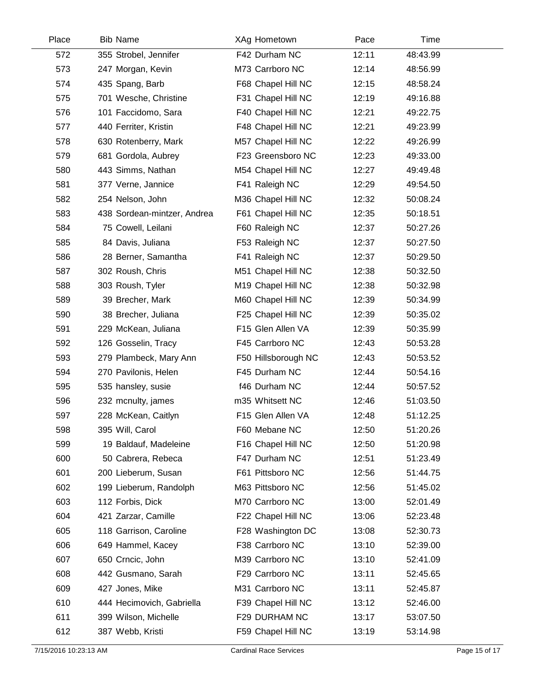| Place | <b>Bib Name</b>             | XAg Hometown        | Pace  | Time     |  |
|-------|-----------------------------|---------------------|-------|----------|--|
| 572   | 355 Strobel, Jennifer       | F42 Durham NC       | 12:11 | 48:43.99 |  |
| 573   | 247 Morgan, Kevin           | M73 Carrboro NC     | 12:14 | 48:56.99 |  |
| 574   | 435 Spang, Barb             | F68 Chapel Hill NC  | 12:15 | 48:58.24 |  |
| 575   | 701 Wesche, Christine       | F31 Chapel Hill NC  | 12:19 | 49:16.88 |  |
| 576   | 101 Faccidomo, Sara         | F40 Chapel Hill NC  | 12:21 | 49:22.75 |  |
| 577   | 440 Ferriter, Kristin       | F48 Chapel Hill NC  | 12:21 | 49:23.99 |  |
| 578   | 630 Rotenberry, Mark        | M57 Chapel Hill NC  | 12:22 | 49:26.99 |  |
| 579   | 681 Gordola, Aubrey         | F23 Greensboro NC   | 12:23 | 49:33.00 |  |
| 580   | 443 Simms, Nathan           | M54 Chapel Hill NC  | 12:27 | 49:49.48 |  |
| 581   | 377 Verne, Jannice          | F41 Raleigh NC      | 12:29 | 49:54.50 |  |
| 582   | 254 Nelson, John            | M36 Chapel Hill NC  | 12:32 | 50:08.24 |  |
| 583   | 438 Sordean-mintzer, Andrea | F61 Chapel Hill NC  | 12:35 | 50:18.51 |  |
| 584   | 75 Cowell, Leilani          | F60 Raleigh NC      | 12:37 | 50:27.26 |  |
| 585   | 84 Davis, Juliana           | F53 Raleigh NC      | 12:37 | 50:27.50 |  |
| 586   | 28 Berner, Samantha         | F41 Raleigh NC      | 12:37 | 50:29.50 |  |
| 587   | 302 Roush, Chris            | M51 Chapel Hill NC  | 12:38 | 50:32.50 |  |
| 588   | 303 Roush, Tyler            | M19 Chapel Hill NC  | 12:38 | 50:32.98 |  |
| 589   | 39 Brecher, Mark            | M60 Chapel Hill NC  | 12:39 | 50:34.99 |  |
| 590   | 38 Brecher, Juliana         | F25 Chapel Hill NC  | 12:39 | 50:35.02 |  |
| 591   | 229 McKean, Juliana         | F15 Glen Allen VA   | 12:39 | 50:35.99 |  |
| 592   | 126 Gosselin, Tracy         | F45 Carrboro NC     | 12:43 | 50:53.28 |  |
| 593   | 279 Plambeck, Mary Ann      | F50 Hillsborough NC | 12:43 | 50:53.52 |  |
| 594   | 270 Pavilonis, Helen        | F45 Durham NC       | 12:44 | 50:54.16 |  |
| 595   | 535 hansley, susie          | f46 Durham NC       | 12:44 | 50:57.52 |  |
| 596   | 232 mcnulty, james          | m35 Whitsett NC     | 12:46 | 51:03.50 |  |
| 597   | 228 McKean, Caitlyn         | F15 Glen Allen VA   | 12:48 | 51:12.25 |  |
| 598   | 395 Will, Carol             | F60 Mebane NC       | 12:50 | 51:20.26 |  |
| 599   | 19 Baldauf, Madeleine       | F16 Chapel Hill NC  | 12:50 | 51:20.98 |  |
| 600   | 50 Cabrera, Rebeca          | F47 Durham NC       | 12:51 | 51:23.49 |  |
| 601   | 200 Lieberum, Susan         | F61 Pittsboro NC    | 12:56 | 51:44.75 |  |
| 602   | 199 Lieberum, Randolph      | M63 Pittsboro NC    | 12:56 | 51:45.02 |  |
| 603   | 112 Forbis, Dick            | M70 Carrboro NC     | 13:00 | 52:01.49 |  |
| 604   | 421 Zarzar, Camille         | F22 Chapel Hill NC  | 13:06 | 52:23.48 |  |
| 605   | 118 Garrison, Caroline      | F28 Washington DC   | 13:08 | 52:30.73 |  |
| 606   | 649 Hammel, Kacey           | F38 Carrboro NC     | 13:10 | 52:39.00 |  |
| 607   | 650 Crncic, John            | M39 Carrboro NC     | 13:10 | 52:41.09 |  |
| 608   | 442 Gusmano, Sarah          | F29 Carrboro NC     | 13:11 | 52:45.65 |  |
| 609   | 427 Jones, Mike             | M31 Carrboro NC     | 13:11 | 52:45.87 |  |
| 610   | 444 Hecimovich, Gabriella   | F39 Chapel Hill NC  | 13:12 | 52:46.00 |  |
| 611   | 399 Wilson, Michelle        | F29 DURHAM NC       | 13:17 | 53:07.50 |  |
| 612   | 387 Webb, Kristi            | F59 Chapel Hill NC  | 13:19 | 53:14.98 |  |
|       |                             |                     |       |          |  |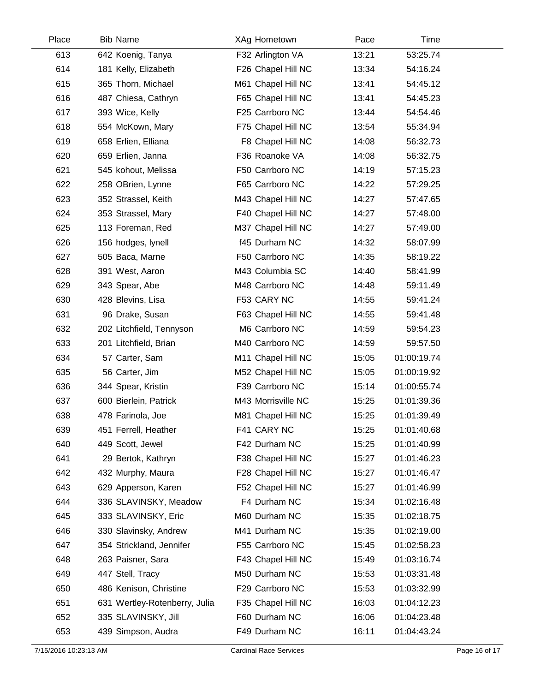| Place | <b>Bib Name</b>               | XAg Hometown       | Pace  | Time        |  |
|-------|-------------------------------|--------------------|-------|-------------|--|
| 613   | 642 Koenig, Tanya             | F32 Arlington VA   | 13:21 | 53:25.74    |  |
| 614   | 181 Kelly, Elizabeth          | F26 Chapel Hill NC | 13:34 | 54:16.24    |  |
| 615   | 365 Thorn, Michael            | M61 Chapel Hill NC | 13:41 | 54:45.12    |  |
| 616   | 487 Chiesa, Cathryn           | F65 Chapel Hill NC | 13:41 | 54:45.23    |  |
| 617   | 393 Wice, Kelly               | F25 Carrboro NC    | 13:44 | 54:54.46    |  |
| 618   | 554 McKown, Mary              | F75 Chapel Hill NC | 13:54 | 55:34.94    |  |
| 619   | 658 Erlien, Elliana           | F8 Chapel Hill NC  | 14:08 | 56:32.73    |  |
| 620   | 659 Erlien, Janna             | F36 Roanoke VA     | 14:08 | 56:32.75    |  |
| 621   | 545 kohout, Melissa           | F50 Carrboro NC    | 14:19 | 57:15.23    |  |
| 622   | 258 OBrien, Lynne             | F65 Carrboro NC    | 14:22 | 57:29.25    |  |
| 623   | 352 Strassel, Keith           | M43 Chapel Hill NC | 14:27 | 57:47.65    |  |
| 624   | 353 Strassel, Mary            | F40 Chapel Hill NC | 14:27 | 57:48.00    |  |
| 625   | 113 Foreman, Red              | M37 Chapel Hill NC | 14:27 | 57:49.00    |  |
| 626   | 156 hodges, lynell            | f45 Durham NC      | 14:32 | 58:07.99    |  |
| 627   | 505 Baca, Marne               | F50 Carrboro NC    | 14:35 | 58:19.22    |  |
| 628   | 391 West, Aaron               | M43 Columbia SC    | 14:40 | 58:41.99    |  |
| 629   | 343 Spear, Abe                | M48 Carrboro NC    | 14:48 | 59:11.49    |  |
| 630   | 428 Blevins, Lisa             | F53 CARY NC        | 14:55 | 59:41.24    |  |
| 631   | 96 Drake, Susan               | F63 Chapel Hill NC | 14:55 | 59:41.48    |  |
| 632   | 202 Litchfield, Tennyson      | M6 Carrboro NC     | 14:59 | 59:54.23    |  |
| 633   | 201 Litchfield, Brian         | M40 Carrboro NC    | 14:59 | 59:57.50    |  |
| 634   | 57 Carter, Sam                | M11 Chapel Hill NC | 15:05 | 01:00:19.74 |  |
| 635   | 56 Carter, Jim                | M52 Chapel Hill NC | 15:05 | 01:00:19.92 |  |
| 636   | 344 Spear, Kristin            | F39 Carrboro NC    | 15:14 | 01:00:55.74 |  |
| 637   | 600 Bierlein, Patrick         | M43 Morrisville NC | 15:25 | 01:01:39.36 |  |
| 638   | 478 Farinola, Joe             | M81 Chapel Hill NC | 15:25 | 01:01:39.49 |  |
| 639   | 451 Ferrell, Heather          | F41 CARY NC        | 15:25 | 01:01:40.68 |  |
| 640   | 449 Scott, Jewel              | F42 Durham NC      | 15:25 | 01:01:40.99 |  |
| 641   | 29 Bertok, Kathryn            | F38 Chapel Hill NC | 15:27 | 01:01:46.23 |  |
| 642   | 432 Murphy, Maura             | F28 Chapel Hill NC | 15:27 | 01:01:46.47 |  |
| 643   | 629 Apperson, Karen           | F52 Chapel Hill NC | 15:27 | 01:01:46.99 |  |
| 644   | 336 SLAVINSKY, Meadow         | F4 Durham NC       | 15:34 | 01:02:16.48 |  |
| 645   | 333 SLAVINSKY, Eric           | M60 Durham NC      | 15:35 | 01:02:18.75 |  |
| 646   | 330 Slavinsky, Andrew         | M41 Durham NC      | 15:35 | 01:02:19.00 |  |
| 647   | 354 Strickland, Jennifer      | F55 Carrboro NC    | 15:45 | 01:02:58.23 |  |
| 648   | 263 Paisner, Sara             | F43 Chapel Hill NC | 15:49 | 01:03:16.74 |  |
| 649   | 447 Stell, Tracy              | M50 Durham NC      | 15:53 | 01:03:31.48 |  |
| 650   | 486 Kenison, Christine        | F29 Carrboro NC    | 15:53 | 01:03:32.99 |  |
| 651   | 631 Wertley-Rotenberry, Julia | F35 Chapel Hill NC | 16:03 | 01:04:12.23 |  |
| 652   | 335 SLAVINSKY, Jill           | F60 Durham NC      | 16:06 | 01:04:23.48 |  |
| 653   | 439 Simpson, Audra            | F49 Durham NC      | 16:11 | 01:04:43.24 |  |
|       |                               |                    |       |             |  |